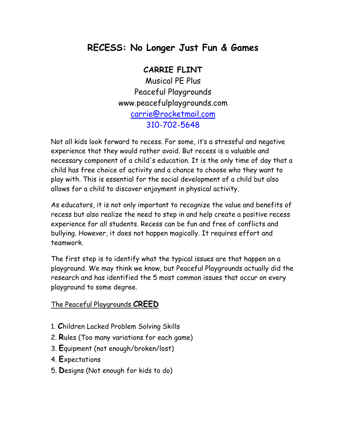# **RECESS: No Longer Just Fun & Games**

#### **CARRIE FLINT**

Musical PE Plus Peaceful Playgrounds www.peacefulplaygrounds.com carrie@rocketmail.com 310-702-5648

Not all kids look forward to recess. For some, it's a stressful and negative experience that they would rather avoid. But recess is a valuable and necessary component of a child's education. It is the only time of day that a child has free choice of activity and a chance to choose who they want to play with. This is essential for the social development of a child but also allows for a child to discover enjoyment in physical activity.

As educators, it is not only important to recognize the value and benefits of recess but also realize the need to step in and help create a positive recess experience for all students. Recess can be fun and free of conflicts and bullying. However, it does not happen magically. It requires effort and teamwork.

The first step is to identify what the typical issues are that happen on a playground. We may think we know, but Peaceful Playgrounds actually did the research and has identified the 5 most common issues that occur on every playground to some degree.

#### The Peaceful Playgrounds **CREED**

- 1. **C**hildren Lacked Problem Solving Skills
- 2. **R**ules (Too many variations for each game)
- 3. **E**quipment (not enough/broken/lost)
- 4. **E**xpectations
- 5. **D**esigns (Not enough for kids to do)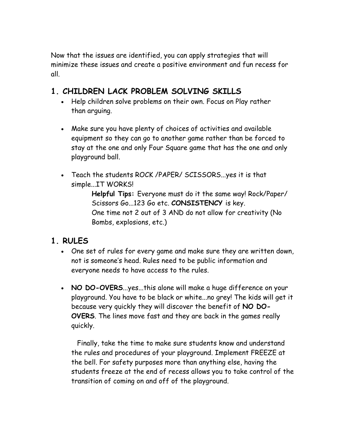Now that the issues are identified, you can apply strategies that will minimize these issues and create a positive environment and fun recess for all.

### **1. CHILDREN LACK PROBLEM SOLVING SKILLS**

- Help children solve problems on their own. Focus on Play rather than arguing.
- Make sure you have plenty of choices of activities and available equipment so they can go to another game rather than be forced to stay at the one and only Four Square game that has the one and only playground ball.
- Teach the students ROCK /PAPER/ SCISSORS...yes it is that simple...IT WORKS!

**Helpful Tips:** Everyone must do it the same way! Rock/Paper/ Scissors Go...123 Go etc. **CONSISTENCY** is key. One time not 2 out of 3 AND do not allow for creativity (No Bombs, explosions, etc.)

#### **1. RULES**

- One set of rules for every game and make sure they are written down, not is someone's head. Rules need to be public information and everyone needs to have access to the rules.
- **NO DO-OVERS**...yes...this alone will make a huge difference on your playground. You have to be black or white...no grey! The kids will get it because very quickly they will discover the benefit of **NO DO-OVERS**. The lines move fast and they are back in the games really quickly.

 Finally, take the time to make sure students know and understand the rules and procedures of your playground. Implement FREEZE at the bell. For safety purposes more than anything else, having the students freeze at the end of recess allows you to take control of the transition of coming on and off of the playground.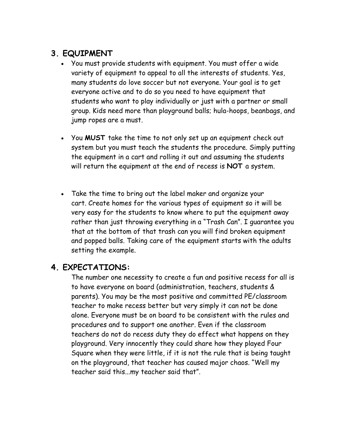## **3. EQUIPMENT**

- You must provide students with equipment. You must offer a wide variety of equipment to appeal to all the interests of students. Yes, many students do love soccer but not everyone. Your goal is to get everyone active and to do so you need to have equipment that students who want to play individually or just with a partner or small group. Kids need more than playground balls; hula-hoops, beanbags, and jump ropes are a must.
- You **MUST** take the time to not only set up an equipment check out system but you must teach the students the procedure. Simply putting the equipment in a cart and rolling it out and assuming the students will return the equipment at the end of recess is **NOT** a system.
- Take the time to bring out the label maker and organize your cart. Create homes for the various types of equipment so it will be very easy for the students to know where to put the equipment away rather than just throwing everything in a "Trash Can". I guarantee you that at the bottom of that trash can you will find broken equipment and popped balls. Taking care of the equipment starts with the adults setting the example.

### **4. EXPECTATIONS:**

The number one necessity to create a fun and positive recess for all is to have everyone on board (administration, teachers, students & parents). You may be the most positive and committed PE/classroom teacher to make recess better but very simply it can not be done alone. Everyone must be on board to be consistent with the rules and procedures and to support one another. Even if the classroom teachers do not do recess duty they do effect what happens on they playground. Very innocently they could share how they played Four Square when they were little, if it is not the rule that is being taught on the playground, that teacher has caused major chaos. "Well my teacher said this...my teacher said that".